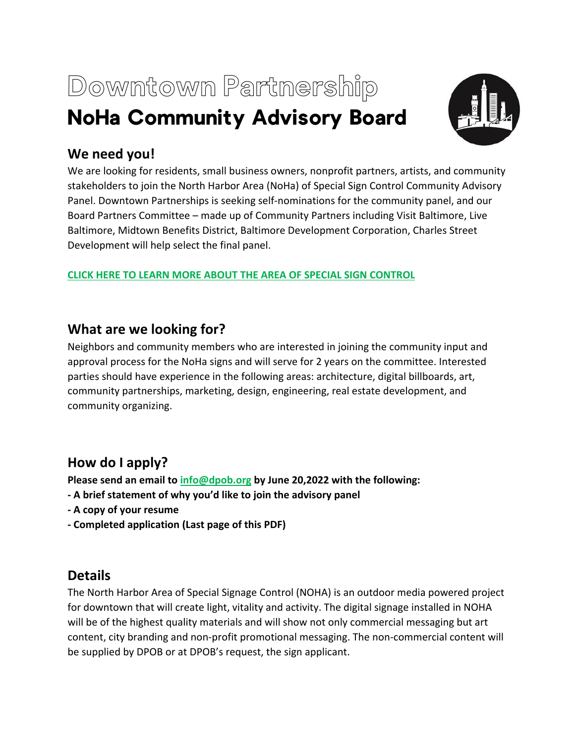# Downtown Partnership **NoHa Community Advisory Board**



# **We need you!**

We are looking for residents, small business owners, nonprofit partners, artists, and community stakeholders to join the North Harbor Area (NoHa) of Special Sign Control Community Advisory Panel. Downtown Partnerships is seeking self-nominations for the community panel, and our Board Partners Committee – made up of Community Partners including Visit Baltimore, Live Baltimore, Midtown Benefits District, Baltimore Development Corporation, Charles Street Development will help select the final panel.

#### **[CLICK HERE TO LEARN MORE ABOUT THE AREA OF SPECIAL SIGN CONTROL](https://godowntownbaltimore.com/north-harbor-assc/)**

# **What are we looking for?**

Neighbors and community members who are interested in joining the community input and approval process for the NoHa signs and will serve for 2 years on the committee. Interested parties should have experience in the following areas: architecture, digital billboards, art, community partnerships, marketing, design, engineering, real estate development, and community organizing.

# **How do I apply?**

**Please send an email to [info@dpob.org](mailto:info@dpob.org) by June 20,2022 with the following:**

- **A brief statement of why you'd like to join the advisory panel**
- **A copy of your resume**
- **Completed application (Last page of this PDF)**

## **Details**

The North Harbor Area of Special Signage Control (NOHA) is an outdoor media powered project for downtown that will create light, vitality and activity. The digital signage installed in NOHA will be of the highest quality materials and will show not only commercial messaging but art content, city branding and non-profit promotional messaging. The non-commercial content will be supplied by DPOB or at DPOB's request, the sign applicant.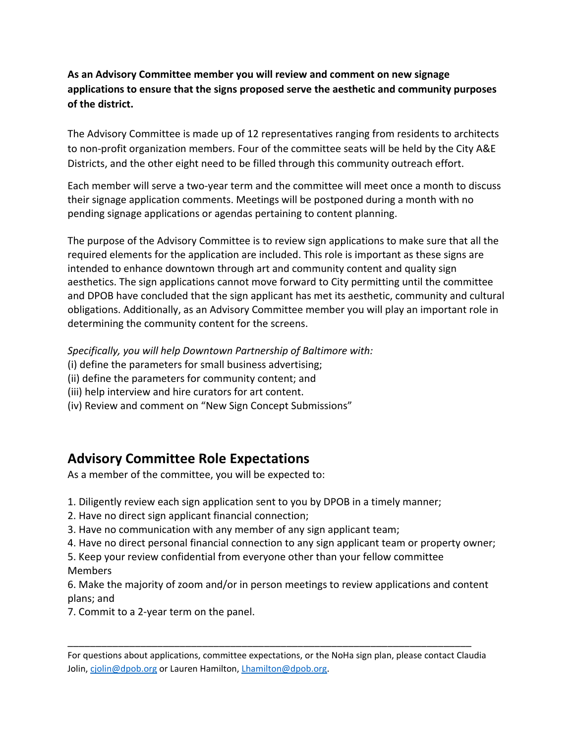#### **As an Advisory Committee member you will review and comment on new signage applications to ensure that the signs proposed serve the aesthetic and community purposes of the district.**

The Advisory Committee is made up of 12 representatives ranging from residents to architects to non-profit organization members. Four of the committee seats will be held by the City A&E Districts, and the other eight need to be filled through this community outreach effort.

Each member will serve a two-year term and the committee will meet once a month to discuss their signage application comments. Meetings will be postponed during a month with no pending signage applications or agendas pertaining to content planning.

The purpose of the Advisory Committee is to review sign applications to make sure that all the required elements for the application are included. This role is important as these signs are intended to enhance downtown through art and community content and quality sign aesthetics. The sign applications cannot move forward to City permitting until the committee and DPOB have concluded that the sign applicant has met its aesthetic, community and cultural obligations. Additionally, as an Advisory Committee member you will play an important role in determining the community content for the screens.

*Specifically, you will help Downtown Partnership of Baltimore with:*

- (i) define the parameters for small business advertising;
- (ii) define the parameters for community content; and
- (iii) help interview and hire curators for art content.
- (iv) Review and comment on "New Sign Concept Submissions"

## **Advisory Committee Role Expectations**

As a member of the committee, you will be expected to:

- 1. Diligently review each sign application sent to you by DPOB in a timely manner;
- 2. Have no direct sign applicant financial connection;
- 3. Have no communication with any member of any sign applicant team;
- 4. Have no direct personal financial connection to any sign applicant team or property owner;

5. Keep your review confidential from everyone other than your fellow committee Members

6. Make the majority of zoom and/or in person meetings to review applications and content plans; and

7. Commit to a 2-year term on the panel.

\_\_\_\_\_\_\_\_\_\_\_\_\_\_\_\_\_\_\_\_\_\_\_\_\_\_\_\_\_\_\_\_\_\_\_\_\_\_\_\_\_\_\_\_\_\_\_\_\_\_\_\_\_\_\_\_\_\_\_\_\_\_\_\_\_\_\_\_\_\_\_\_

For questions about applications, committee expectations, or the NoHa sign plan, please contact Claudia Jolin, [cjolin@dpob.org](mailto:cjolin@dpob.org) or Lauren Hamilton, Lhamilton@dpob.org.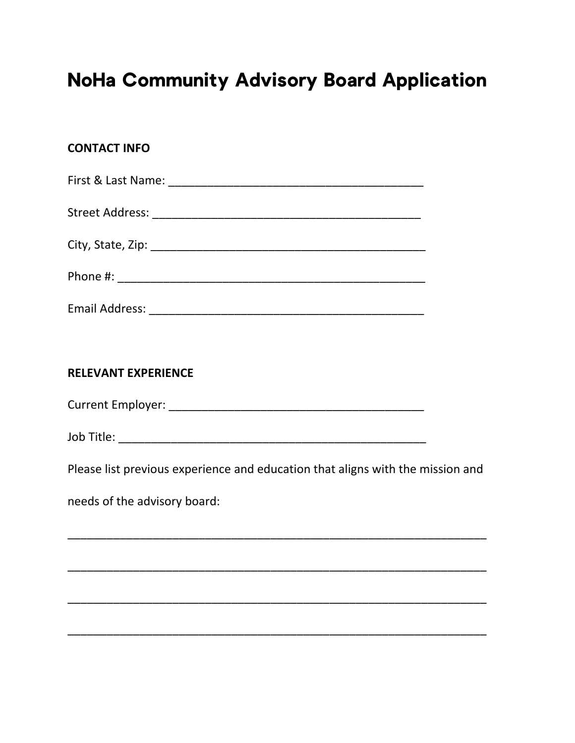# **NoHa Community Advisory Board Application**

#### **CONTACT INFO**

| Email Address: The Contract of the Contract of the Contract of the Contract of the Contract of the Contract of |
|----------------------------------------------------------------------------------------------------------------|

#### **RELEVANT EXPERIENCE**

Please list previous experience and education that aligns with the mission and

needs of the advisory board: